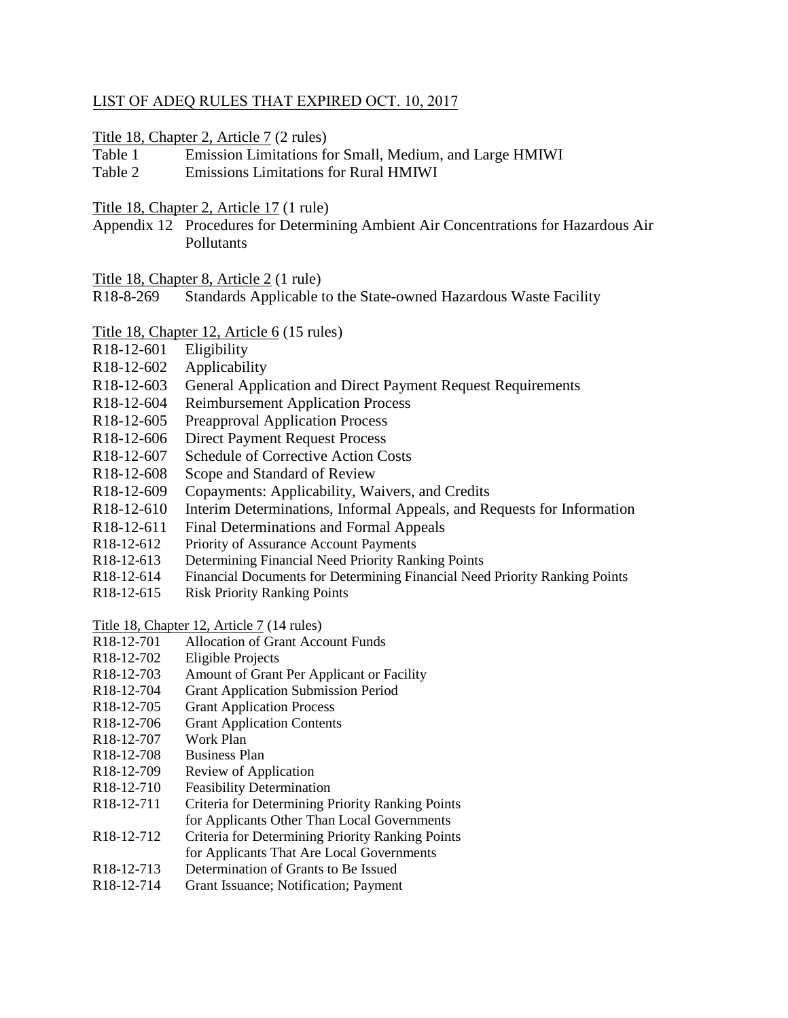## LIST OF ADEQ RULES THAT EXPIRED OCT. 10, 2017

## Title 18, Chapter 2, Article 7 (2 rules)

Table 1 Emission Limitations for Small, Medium, and Large HMIWI

Table 2 Emissions Limitations for Rural HMIWI

## Title 18, Chapter 2, Article 17 (1 rule)

Appendix 12 Procedures for Determining Ambient Air Concentrations for Hazardous Air **Pollutants** 

- Title 18, Chapter 8, Article 2 (1 rule)
- R18-8-269 Standards Applicable to the State-owned Hazardous Waste Facility

## Title 18, Chapter 12, Article 6 (15 rules)

- R18-12-601 Eligibility
- R18-12-602 Applicability
- R18-12-603 General Application and Direct Payment Request Requirements
- R18-12-604 Reimbursement Application Process
- R18-12-605 Preapproval Application Process
- R18-12-606 Direct Payment Request Process
- R18-12-607 Schedule of Corrective Action Costs
- R18-12-608 Scope and Standard of Review
- R18-12-609 Copayments: Applicability, Waivers, and Credits
- R18-12-610 Interim Determinations, Informal Appeals, and Requests for Information
- R18-12-611 Final Determinations and Formal Appeals
- R18-12-612 Priority of Assurance Account Payments
- R18-12-613 Determining Financial Need Priority Ranking Points
- R18-12-614 Financial Documents for Determining Financial Need Priority Ranking Points
- R18-12-615 Risk Priority Ranking Points

Title 18, Chapter 12, Article 7 (14 rules)

- R18-12-701 Allocation of Grant Account Funds
- R18-12-702 Eligible Projects
- R18-12-703 Amount of Grant Per Applicant or Facility
- R18-12-704 Grant Application Submission Period
- R18-12-705 Grant Application Process
- R18-12-706 Grant Application Contents
- R18-12-707 Work Plan
- R18-12-708 Business Plan
- R18-12-709 Review of Application
- R18-12-710 Feasibility Determination
- R18-12-711 Criteria for Determining Priority Ranking Points for Applicants Other Than Local Governments
- R18-12-712 Criteria for Determining Priority Ranking Points for Applicants That Are Local Governments
- R18-12-713 Determination of Grants to Be Issued
- R18-12-714 Grant Issuance; Notification; Payment